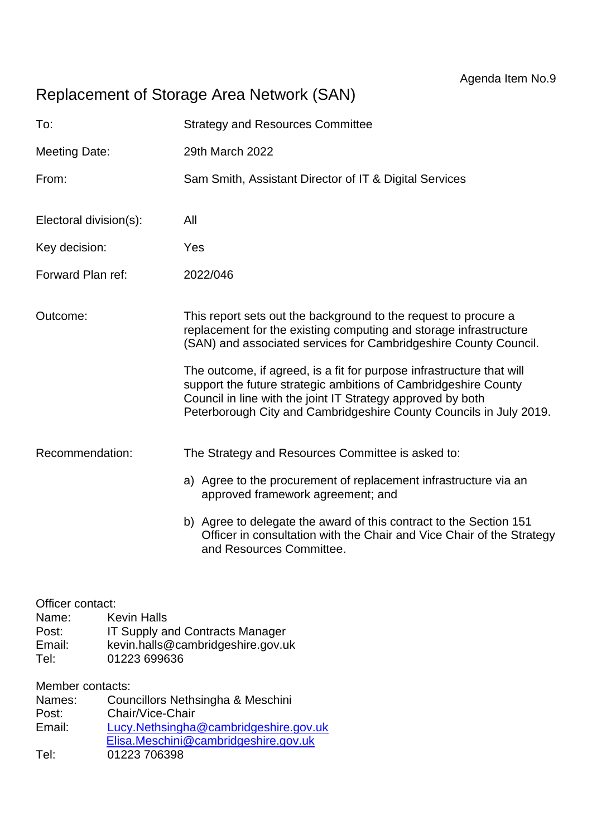# Replacement of Storage Area Network (SAN)

| To:                                                                                                                                                                                                             |                                                                                                                   | <b>Strategy and Resources Committee</b>                                                                                                                                                                                                                                                                                                              |
|-----------------------------------------------------------------------------------------------------------------------------------------------------------------------------------------------------------------|-------------------------------------------------------------------------------------------------------------------|------------------------------------------------------------------------------------------------------------------------------------------------------------------------------------------------------------------------------------------------------------------------------------------------------------------------------------------------------|
| <b>Meeting Date:</b>                                                                                                                                                                                            |                                                                                                                   | 29th March 2022                                                                                                                                                                                                                                                                                                                                      |
| From:                                                                                                                                                                                                           |                                                                                                                   | Sam Smith, Assistant Director of IT & Digital Services                                                                                                                                                                                                                                                                                               |
| Electoral division(s):                                                                                                                                                                                          |                                                                                                                   | All                                                                                                                                                                                                                                                                                                                                                  |
| Key decision:                                                                                                                                                                                                   |                                                                                                                   | Yes                                                                                                                                                                                                                                                                                                                                                  |
| Forward Plan ref:                                                                                                                                                                                               |                                                                                                                   | 2022/046                                                                                                                                                                                                                                                                                                                                             |
| Outcome:                                                                                                                                                                                                        |                                                                                                                   | This report sets out the background to the request to procure a<br>replacement for the existing computing and storage infrastructure<br>(SAN) and associated services for Cambridgeshire County Council.<br>The outcome, if agreed, is a fit for purpose infrastructure that will<br>support the future strategic ambitions of Cambridgeshire County |
|                                                                                                                                                                                                                 |                                                                                                                   | Council in line with the joint IT Strategy approved by both<br>Peterborough City and Cambridgeshire County Councils in July 2019.                                                                                                                                                                                                                    |
| Recommendation:                                                                                                                                                                                                 |                                                                                                                   | The Strategy and Resources Committee is asked to:                                                                                                                                                                                                                                                                                                    |
|                                                                                                                                                                                                                 |                                                                                                                   | a) Agree to the procurement of replacement infrastructure via an<br>approved framework agreement; and                                                                                                                                                                                                                                                |
|                                                                                                                                                                                                                 |                                                                                                                   | b) Agree to delegate the award of this contract to the Section 151<br>Officer in consultation with the Chair and Vice Chair of the Strategy<br>and Resources Committee.                                                                                                                                                                              |
| Officer contact:                                                                                                                                                                                                |                                                                                                                   |                                                                                                                                                                                                                                                                                                                                                      |
| Name:<br>Post:<br>Email:<br>Tel:                                                                                                                                                                                | <b>Kevin Halls</b><br><b>IT Supply and Contracts Manager</b><br>kevin.halls@cambridgeshire.gov.uk<br>01223 699636 |                                                                                                                                                                                                                                                                                                                                                      |
| Member contacts:<br>Names:<br>Councillors Nethsingha & Meschini<br>Chair/Vice-Chair<br>Post:<br>Email:<br>Lucy.Nethsingha@cambridgeshire.gov.uk<br>Elisa.Meschini@cambridgeshire.gov.uk<br>01223 706398<br>Tel: |                                                                                                                   |                                                                                                                                                                                                                                                                                                                                                      |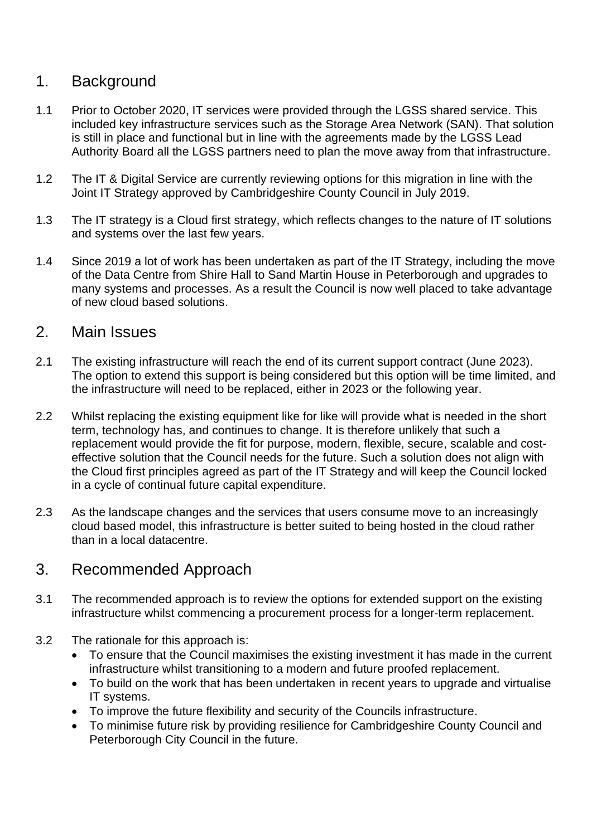# 1. Background

- 1.1 Prior to October 2020, IT services were provided through the LGSS shared service. This included key infrastructure services such as the Storage Area Network (SAN). That solution is still in place and functional but in line with the agreements made by the LGSS Lead Authority Board all the LGSS partners need to plan the move away from that infrastructure.
- 1.2 The IT & Digital Service are currently reviewing options for this migration in line with the Joint IT Strategy approved by Cambridgeshire County Council in July 2019.
- 1.3 The IT strategy is a Cloud first strategy, which reflects changes to the nature of IT solutions and systems over the last few years.
- 1.4 Since 2019 a lot of work has been undertaken as part of the IT Strategy, including the move of the Data Centre from Shire Hall to Sand Martin House in Peterborough and upgrades to many systems and processes. As a result the Council is now well placed to take advantage of new cloud based solutions.

### 2. Main Issues

- 2.1 The existing infrastructure will reach the end of its current support contract (June 2023). The option to extend this support is being considered but this option will be time limited, and the infrastructure will need to be replaced, either in 2023 or the following year.
- 2.2 Whilst replacing the existing equipment like for like will provide what is needed in the short term, technology has, and continues to change. It is therefore unlikely that such a replacement would provide the fit for purpose, modern, flexible, secure, scalable and costeffective solution that the Council needs for the future. Such a solution does not align with the Cloud first principles agreed as part of the IT Strategy and will keep the Council locked in a cycle of continual future capital expenditure.
- 2.3 As the landscape changes and the services that users consume move to an increasingly cloud based model, this infrastructure is better suited to being hosted in the cloud rather than in a local datacentre.

# 3. Recommended Approach

- 3.1 The recommended approach is to review the options for extended support on the existing infrastructure whilst commencing a procurement process for a longer-term replacement.
- 3.2 The rationale for this approach is:
	- To ensure that the Council maximises the existing investment it has made in the current infrastructure whilst transitioning to a modern and future proofed replacement.
	- To build on the work that has been undertaken in recent years to upgrade and virtualise IT systems.
	- To improve the future flexibility and security of the Councils infrastructure.
	- To minimise future risk by providing resilience for Cambridgeshire County Council and Peterborough City Council in the future.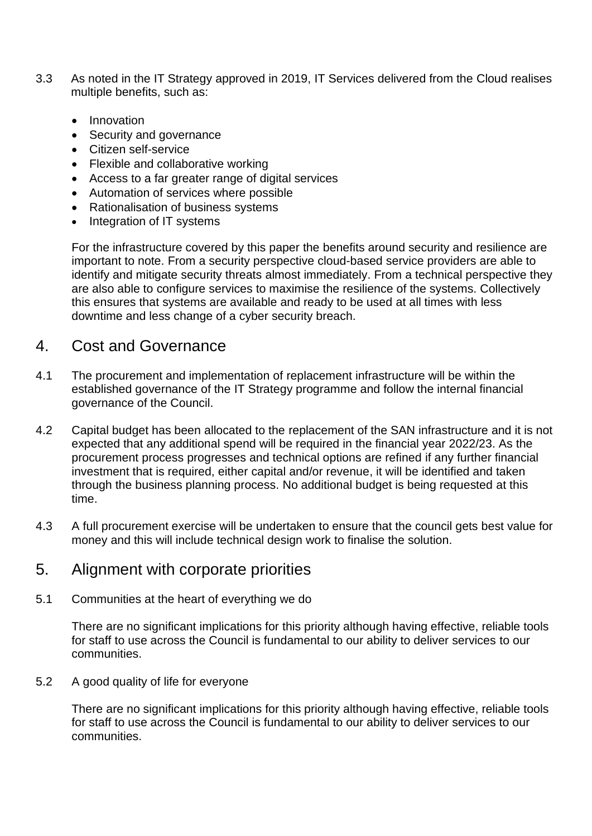- 3.3 As noted in the IT Strategy approved in 2019, IT Services delivered from the Cloud realises multiple benefits, such as:
	- Innovation
	- Security and governance
	- Citizen self-service
	- Flexible and collaborative working
	- Access to a far greater range of digital services
	- Automation of services where possible
	- Rationalisation of business systems
	- Integration of IT systems

For the infrastructure covered by this paper the benefits around security and resilience are important to note. From a security perspective cloud-based service providers are able to identify and mitigate security threats almost immediately. From a technical perspective they are also able to configure services to maximise the resilience of the systems. Collectively this ensures that systems are available and ready to be used at all times with less downtime and less change of a cyber security breach.

# 4. Cost and Governance

- 4.1 The procurement and implementation of replacement infrastructure will be within the established governance of the IT Strategy programme and follow the internal financial governance of the Council.
- 4.2 Capital budget has been allocated to the replacement of the SAN infrastructure and it is not expected that any additional spend will be required in the financial year 2022/23. As the procurement process progresses and technical options are refined if any further financial investment that is required, either capital and/or revenue, it will be identified and taken through the business planning process. No additional budget is being requested at this time.
- 4.3 A full procurement exercise will be undertaken to ensure that the council gets best value for money and this will include technical design work to finalise the solution.

## 5. Alignment with corporate priorities

#### 5.1 Communities at the heart of everything we do

There are no significant implications for this priority although having effective, reliable tools for staff to use across the Council is fundamental to our ability to deliver services to our communities.

#### 5.2 A good quality of life for everyone

There are no significant implications for this priority although having effective, reliable tools for staff to use across the Council is fundamental to our ability to deliver services to our communities.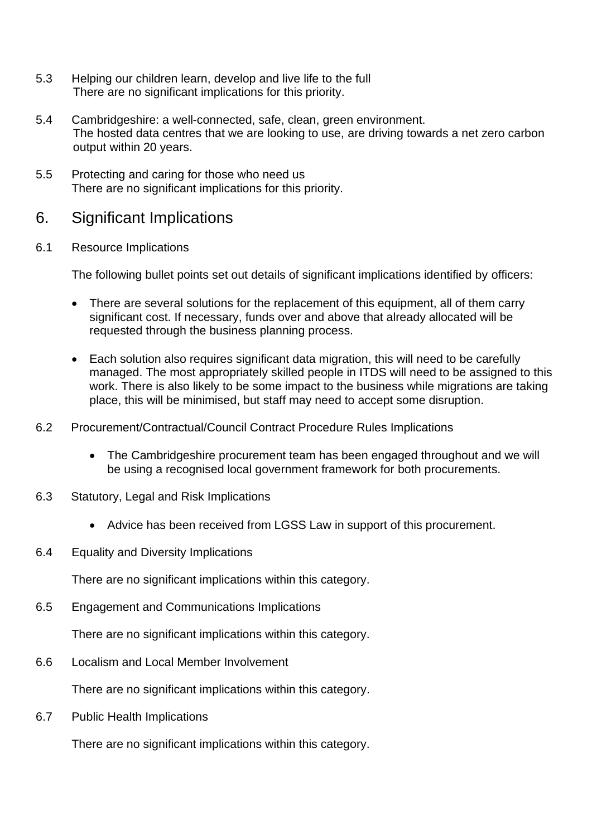- 5.3 Helping our children learn, develop and live life to the full There are no significant implications for this priority.
- 5.4 Cambridgeshire: a well-connected, safe, clean, green environment. The hosted data centres that we are looking to use, are driving towards a net zero carbon output within 20 years.
- 5.5 Protecting and caring for those who need us There are no significant implications for this priority.

# 6. Significant Implications

6.1 Resource Implications

The following bullet points set out details of significant implications identified by officers:

- There are several solutions for the replacement of this equipment, all of them carry significant cost. If necessary, funds over and above that already allocated will be requested through the business planning process.
- Each solution also requires significant data migration, this will need to be carefully managed. The most appropriately skilled people in ITDS will need to be assigned to this work. There is also likely to be some impact to the business while migrations are taking place, this will be minimised, but staff may need to accept some disruption.
- 6.2 Procurement/Contractual/Council Contract Procedure Rules Implications
	- The Cambridgeshire procurement team has been engaged throughout and we will be using a recognised local government framework for both procurements.
- 6.3 Statutory, Legal and Risk Implications
	- Advice has been received from LGSS Law in support of this procurement.
- 6.4 Equality and Diversity Implications

There are no significant implications within this category.

6.5 Engagement and Communications Implications

There are no significant implications within this category.

6.6 Localism and Local Member Involvement

There are no significant implications within this category.

6.7 Public Health Implications

There are no significant implications within this category.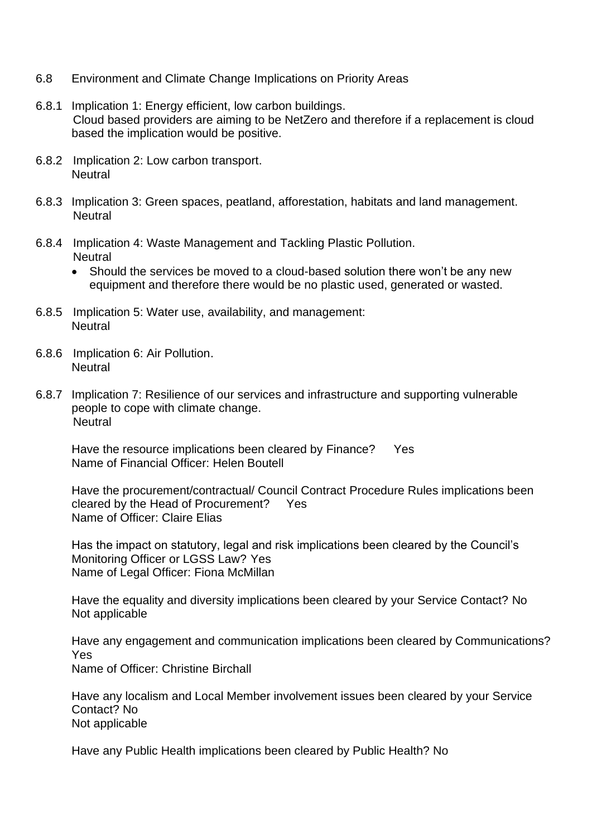- 6.8 Environment and Climate Change Implications on Priority Areas
- 6.8.1 Implication 1: Energy efficient, low carbon buildings. Cloud based providers are aiming to be NetZero and therefore if a replacement is cloud based the implication would be positive.
- 6.8.2 Implication 2: Low carbon transport. **Neutral**
- 6.8.3 Implication 3: Green spaces, peatland, afforestation, habitats and land management. **Neutral**
- 6.8.4 Implication 4: Waste Management and Tackling Plastic Pollution. **Neutral** 
	- Should the services be moved to a cloud-based solution there won't be any new equipment and therefore there would be no plastic used, generated or wasted.
- 6.8.5 Implication 5: Water use, availability, and management: **Neutral**
- 6.8.6 Implication 6: Air Pollution. **Neutral**
- 6.8.7 Implication 7: Resilience of our services and infrastructure and supporting vulnerable people to cope with climate change. Neutral

Have the resource implications been cleared by Finance? Yes Name of Financial Officer: Helen Boutell

Have the procurement/contractual/ Council Contract Procedure Rules implications been cleared by the Head of Procurement? Yes Name of Officer: Claire Elias

Has the impact on statutory, legal and risk implications been cleared by the Council's Monitoring Officer or LGSS Law? Yes Name of Legal Officer: Fiona McMillan

Have the equality and diversity implications been cleared by your Service Contact? No Not applicable

Have any engagement and communication implications been cleared by Communications? Yes

Name of Officer: Christine Birchall

Have any localism and Local Member involvement issues been cleared by your Service Contact? No Not applicable

Have any Public Health implications been cleared by Public Health? No